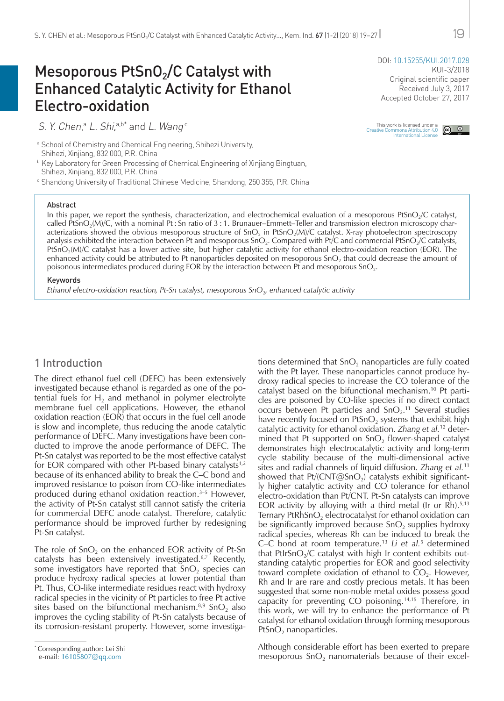# Mesoporous  $PtSnO<sub>2</sub>/C$  Catalyst with Enhanced Catalytic Activity for Ethanol Electro-oxidation

S. Y. Chen,<sup>a</sup> L. Shi,<sup>a,b\*</sup> and L. Wang<sup>c</sup>

a School of Chemistry and Chemical Engineering, Shihezi University, Shihezi, Xinjiang, 832 000, P.R. China

**b Key Laboratory for Green Processing of Chemical Engineering of Xinjiang Bingtuan,** Shihezi, Xinjiang, 832 000, P.R. China

<sup>c</sup> Shandong University of Traditional Chinese Medicine, Shandong, 250 355, P.R. China

#### Abstract

DOI: [10.15255/KUI.2017.028](https://doi.org/10.15255/KUI.2017.028) KUI-3/2018 Original scientific paper Received July 3, 2017

Accepted October 27, 2017

This work is licensed under a<br>Creative Commons Attribution 4.0  $\bigcirc$  **O**<br>International License

In this paper, we report the synthesis, characterization, and electrochemical evaluation of a mesoporous PtSnO<sub>2</sub>/C catalyst, called PtSnO<sub>2</sub>(M)/C, with a nominal Pt : Sn ratio of  $3:1$ . Brunauer–Emmett–Teller and transmission electron microscopy characterizations showed the obvious mesoporous structure of  $SnO<sub>2</sub>$  in PtSnO<sub>2</sub>(M)/C catalyst. X-ray photoelectron spectroscopy analysis exhibited the interaction between Pt and mesoporous SnO<sub>2</sub>. Compared with Pt/C and commercial PtSnO<sub>2</sub>/C catalysts, PtSnO<sub>2</sub>(M)/C catalyst has a lower active site, but higher catalytic activity for ethanol electro-oxidation reaction (EOR). The enhanced activity could be attributed to Pt nanoparticles deposited on mesoporous  $SnO<sub>2</sub>$  that could decrease the amount of poisonous intermediates produced during EOR by the interaction between Pt and mesoporous SnO<sub>2</sub>.

#### Keywords

*Ethanol electro-oxidation reaction, Pt-Sn catalyst, mesoporous SnO*2*, enhanced catalytic activity*

# 1 Introduction

The direct ethanol fuel cell (DEFC) has been extensively investigated because ethanol is regarded as one of the potential fuels for  $H_2$  and methanol in polymer electrolyte membrane fuel cell applications. However, the ethanol oxidation reaction (EOR) that occurs in the fuel cell anode is slow and incomplete, thus reducing the anode catalytic performance of DEFC. Many investigations have been conducted to improve the anode performance of DEFC. The Pt-Sn catalyst was reported to be the most effective catalyst for EOR compared with other Pt-based binary catalysts $1,2$ because of its enhanced ability to break the C–C bond and improved resistance to poison from CO-like intermediates produced during ethanol oxidation reaction.<sup>3-5</sup> However, the activity of Pt-Sn catalyst still cannot satisfy the criteria for commercial DEFC anode catalyst. Therefore, catalytic performance should be improved further by redesigning Pt-Sn catalyst.

The role of  $SnO<sub>2</sub>$  on the enhanced EOR activity of Pt-Sn catalysts has been extensively investigated.6,7 Recently, some investigators have reported that  $SnO<sub>2</sub>$  species can produce hydroxy radical species at lower potential than Pt. Thus, CO-like intermediate residues react with hydroxy radical species in the vicinity of Pt particles to free Pt active sites based on the bifunctional mechanism. $8.9$  SnO<sub>2</sub> also improves the cycling stability of Pt-Sn catalysts because of its corrosion-resistant property. However, some investigations determined that  $SnO<sub>2</sub>$  nanoparticles are fully coated with the Pt layer. These nanoparticles cannot produce hydroxy radical species to increase the CO tolerance of the catalyst based on the bifunctional mechanism.10 Pt particles are poisoned by CO-like species if no direct contact occurs between Pt particles and  $SnO<sub>2</sub>$ .<sup>11</sup> Several studies have recently focused on  $PtSnO<sub>2</sub>$  systems that exhibit high catalytic activity for ethanol oxidation. *Zhang et al.*12 determined that Pt supported on  $SnO<sub>2</sub>$  flower-shaped catalyst demonstrates high electrocatalytic activity and long-term cycle stability because of the multi-dimensional active sites and radial channels of liquid diffusion. *Zhang et al.*<sup>11</sup> showed that  $Pt/$ (CNT@SnO<sub>2</sub>) catalysts exhibit significantly higher catalytic activity and CO tolerance for ethanol electro-oxidation than Pt/CNT. Pt-Sn catalysts can improve EOR activity by alloying with a third metal (Ir or Rh). $5,13$ Ternary PtRhSnO<sub>2</sub> electrocatalyst for ethanol oxidation can be significantly improved because  $SnO<sub>2</sub>$  supplies hydroxy radical species, whereas Rh can be induced to break the C–C bond at room temperature.13 *Li et al.*<sup>5</sup> determined that PtIrSnO<sub>2</sub>/C catalyst with high Ir content exhibits outstanding catalytic properties for EOR and good selectivity toward complete oxidation of ethanol to  $CO<sub>2</sub>$ . However, Rh and Ir are rare and costly precious metals. It has been suggested that some non-noble metal oxides possess good capacity for preventing CO poisoning.14,15 Therefore, in this work, we will try to enhance the performance of Pt catalyst for ethanol oxidation through forming mesoporous  $PtSnO<sub>2</sub>$  nanoparticles.

Although considerable effort has been exerted to prepare mesoporous  $SnO<sub>2</sub>$  nanomaterials because of their excel-

<sup>\*</sup> Corresponding author: Lei Shi

e-mail: [16105807@qq.com](mailto:16105807%40qq.com%0D?subject=)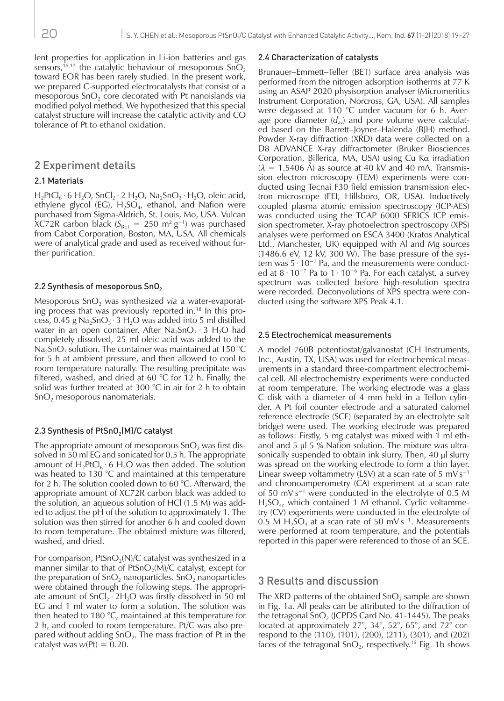lent properties for application in Li-ion batteries and gas sensors,<sup>16,17</sup> the catalytic behaviour of mesoporous  $Sn\ddot{O}$ , toward EOR has been rarely studied. In the present work, we prepared C-supported electrocatalysts that consist of a mesoporous SnO<sub>2</sub> core decorated with Pt nanoislands *via* modified polyol method. We hypothesized that this special catalyst structure will increase the catalytic activity and CO tolerance of Pt to ethanol oxidation.

# 2 Experiment details

#### 2.1 Materials

 $H_2$ PtCl<sub>6</sub> · 6 H<sub>2</sub>O, SnCl<sub>2</sub> · 2 H<sub>2</sub>O, Na<sub>2</sub>SnO<sub>3</sub> · H<sub>2</sub>O, oleic acid, ethylene glycol (EG),  $H_2SO_4$ , ethanol, and Nafion were purchased from Sigma-Aldrich, St. Louis, Mo, USA. Vulcan XC72R carbon black ( $S_{BET}$  = 250 m<sup>2</sup> g<sup>-1</sup>) was purchased from Cabot Corporation, Boston, MA, USA. All chemicals were of analytical grade and used as received without further purification.

#### 2.2 Synthesis of mesoporous  $SnO<sub>2</sub>$

Mesoporous SnO<sub>2</sub> was synthesized *via* a water-evaporating process that was previously reported in.18 In this process, 0.45 g Na<sub>2</sub>SnO<sub>3</sub> · 3 H<sub>2</sub>O was added into 5 ml distilled water in an open container. After  $Na<sub>2</sub>SnO<sub>3</sub> · 3 H<sub>2</sub>O$  had completely dissolved, 25 ml oleic acid was added to the Na<sub>2</sub>SnO<sub>3</sub> solution. The container was maintained at 150 °C for 5 h at ambient pressure, and then allowed to cool to room temperature naturally. The resulting precipitate was filtered, washed, and dried at 60 °C for 12 h. Finally, the solid was further treated at 300 °C in air for 2 h to obtain  $SnO<sub>2</sub>$  mesoporous nanomaterials.

#### 2.3 Synthesis of  $PtSnO<sub>2</sub>(M)/C$  catalyst

The appropriate amount of mesoporous  $SnO<sub>2</sub>$  was first dissolved in 50 ml EG and sonicated for 0.5 h. The appropriate amount of  $H_2PtCl_6 \cdot 6 H_2O$  was then added. The solution was heated to 130 °C and maintained at this temperature for 2 h. The solution cooled down to 60 °C. Afterward, the appropriate amount of XC72R carbon black was added to the solution, an aqueous solution of HCl (1.5 M) was added to adjust the pH of the solution to approximately 1. The solution was then stirred for another 6 h and cooled down to room temperature. The obtained mixture was filtered, washed, and dried.

For comparison, PtSnO<sub>2</sub>(N)/C catalyst was synthesized in a manner similar to that of  $PtSnO<sub>2</sub>(M)/C$  catalyst, except for the preparation of  $SnO<sub>2</sub>$  nanoparticles.  $SnO<sub>2</sub>$  nanoparticles were obtained through the following steps. The appropriate amount of  $SnCl<sub>2</sub> · 2H<sub>2</sub>O$  was firstly dissolved in 50 ml EG and 1 ml water to form a solution. The solution was then heated to 180 °C, maintained at this temperature for 2 h, and cooled to room temperature. Pt/C was also prepared without adding  $SnO<sub>2</sub>$ . The mass fraction of Pt in the catalyst was  $w(Pt) = 0.20$ .

#### 2.4 Characterization of catalysts

Brunauer–Emmett–Teller (BET) surface area analysis was performed from the nitrogen adsorption isotherms at 77 K using an ASAP 2020 physisorption analyser (Micromeritics Instrument Corporation, Norcross, GA, USA). All samples were degassed at 110 °C under vacuum for 6 h. Average pore diameter  $(d_{av})$  and pore volume were calculated based on the Barrett–Joyner–Halenda (BJH) method. Powder X-ray diffraction (XRD) data were collected on a D8 ADVANCE X-ray diffractometer (Bruker Biosciences Corporation, Billerica, MA, USA) using Cu Kα irradiation  $(\lambda = 1.5406 \text{ Å})$  as source at 40 kV and 40 mA. Transmission electron microscopy (TEM) experiments were conducted using Tecnai F30 field emission transmission electron microscope (FEI, Hillsboro, OR, USA). Inductively coupled plasma atomic emission spectroscopy (ICP-AES) was conducted using the TCAP 6000 SERICS ICP emission spectrometer. X-ray photoelectron spectroscopy (XPS) analyses were performed on ESCA 3400 (Kratos Analytical Ltd., Manchester, UK) equipped with Al and Mg sources  $(1486.6 \text{ eV}, 12 \text{ kV}, 300 \text{ W})$ . The base pressure of the system was 5 · 10−7 Pa, and the measurements were conducted at  $8 \cdot 10^{-7}$  Pa to  $1 \cdot 10^{-6}$  Pa. For each catalyst, a survey spectrum was collected before high-resolution spectra were recorded. Deconvolutions of XPS spectra were conducted using the software XPS Peak 4.1.

#### 2.5 Electrochemical measurements

A model 760B potentiostat/galvanostat (CH Instruments, Inc., Austin, TX, USA) was used for electrochemical measurements in a standard three-compartment electrochemical cell. All electrochemistry experiments were conducted at room temperature. The working electrode was a glass C disk with a diameter of 4 mm held in a Teflon cylinder. A Pt foil counter electrode and a saturated calomel reference electrode (SCE) (separated by an electrolyte salt bridge) were used. The working electrode was prepared as follows: Firstly, 5 mg catalyst was mixed with 1 ml ethanol and 5 μl 5 % Nafion solution. The mixture was ultrasonically suspended to obtain ink slurry. Then, 40 μl slurry was spread on the working electrode to form a thin layer. Linear sweep voltammetry (LSV) at a scan rate of 5 mV s<sup>-1</sup> and chronoamperometry (CA) experiment at a scan rate of 50 mV s−1 were conducted in the electrolyte of 0.5 M H<sub>2</sub>SO<sub>4</sub>, which contained 1 M ethanol. Cyclic voltammetry (CV) experiments were conducted in the electrolyte of 0.5 M H<sub>2</sub>SO<sub>4</sub> at a scan rate of 50 mV s<sup>-1</sup>. Measurements were performed at room temperature, and the potentials reported in this paper were referenced to those of an SCE.

#### 3 Results and discussion

The XRD patterns of the obtained  $SnO<sub>2</sub>$  sample are shown in Fig. 1a. All peaks can be attributed to the diffraction of the tetragonal  $SnO<sub>2</sub>$  (JCPDS Card No. 41-1445). The peaks located at approximately 27°, 34°, 52°, 65°, and 72° correspond to the (110), (101), (200), (211), (301), and (202) faces of the tetragonal  $SnO<sub>2</sub>$ , respectively.<sup>16</sup> Fig. 1b shows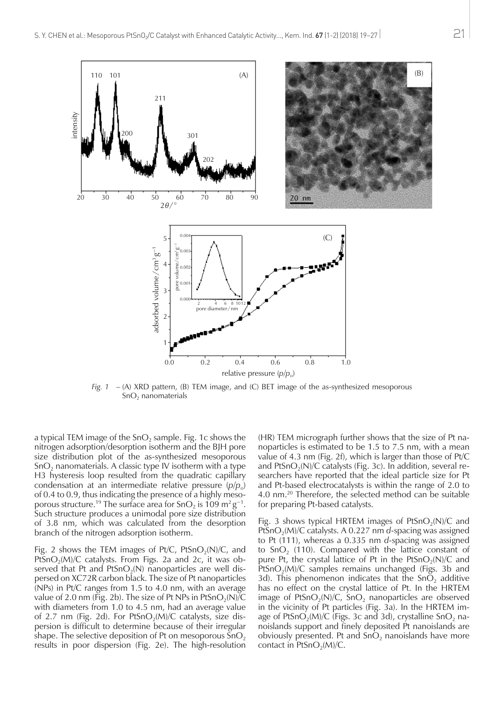

*Fig. 1* – (A) XRD pattern, (B) TEM image, and (C) BET image of the as-synthesized mesoporous  $SnO<sub>2</sub>$  nanomaterials

a typical TEM image of the  $SnO<sub>2</sub>$  sample. Fig. 1c shows the nitrogen adsorption/desorption isotherm and the BJH pore size distribution plot of the as-synthesized mesoporous  $SnO<sub>2</sub>$  nanomaterials. A classic type IV isotherm with a type H3 hysteresis loop resulted from the quadratic capillary condensation at an intermediate relative pressure  $(p/p_0)$ of 0.4 to 0.9, thus indicating the presence of a highly mesoporous structure.<sup>19</sup> The surface area for SnO<sub>2</sub> is 109 m<sup>2</sup> g<sup>-1</sup>. Such structure produces a unimodal pore size distribution of 3.8 nm, which was calculated from the desorption branch of the nitrogen adsorption isotherm.

Fig. 2 shows the TEM images of Pt/C, PtSnO<sub>2</sub>(N)/C, and PtSnO<sub>2</sub>(M)/C catalysts. From Figs. 2a and 2c, it was observed that Pt and PtSnO<sub>2</sub>(N) nanoparticles are well dispersed on XC72R carbon black. The size of Pt nanoparticles (NPs) in Pt/C ranges from 1.5 to 4.0 nm, with an average value of 2.0 nm (Fig. 2b). The size of Pt NPs in PtSnO<sub>2</sub>(N)/C with diameters from 1.0 to 4.5 nm, had an average value of 2.7 nm (Fig. 2d). For PtSnO<sub>2</sub>(M)/C catalysts, size dispersion is difficult to determine because of their irregular shape. The selective deposition of Pt on mesoporous  $\overline{S}nO_2$ results in poor dispersion (Fig. 2e). The high-resolution

(HR) TEM micrograph further shows that the size of Pt nanoparticles is estimated to be 1.5 to 7.5 nm, with a mean value of 4.3 nm (Fig. 2f), which is larger than those of Pt/C and PtSnO<sub>2</sub>(N)/C catalysts (Fig. 3c). In addition, several researchers have reported that the ideal particle size for Pt and Pt-based electrocatalysts is within the range of 2.0 to 4.0 nm.20 Therefore, the selected method can be suitable for preparing Pt-based catalysts.

Fig. 3 shows typical HRTEM images of  $PtSnO<sub>2</sub>(N)/C$  and PtSnO<sub>2</sub>(M)/C catalysts. A 0.227 nm *d*-spacing was assigned to Pt (111), whereas a 0.335 nm *d*-spacing was assigned to  $SnO<sub>2</sub>$  (110). Compared with the lattice constant of pure Pt, the crystal lattice of Pt in the PtSnO<sub>2</sub>(N)/C and PtSnO<sub>2</sub>(M)/C samples remains unchanged (Figs. 3b and 3d). This phenomenon indicates that the  $\overline{SD}_2$  additive has no effect on the crystal lattice of Pt. In the HRTEM image of PtSnO<sub>2</sub>(N)/C, SnO<sub>2</sub> nanoparticles are observed in the vicinity of Pt particles (Fig. 3a). In the HRTEM image of PtSnO<sub>2</sub>(M)/C (Figs. 3c and 3d), crystalline SnO<sub>2</sub> nanoislands support and finely deposited Pt nanoislands are obviously presented. Pt and  $SnO<sub>2</sub>$  nanoislands have more contact in  $PtSnO<sub>2</sub>(M)/C$ .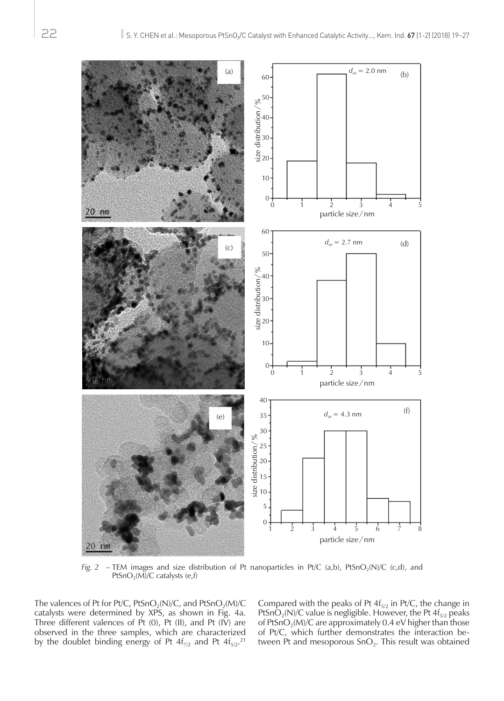

*Fig. 2* – TEM images and size distribution of Pt nanoparticles in Pt/C (a,b), PtSnO<sub>2</sub>(N)/C (c,d), and PtSnO<sub>2</sub>(M)/C catalysts (e,f)

The valences of Pt for Pt/C, PtSnO<sub>2</sub>(N)/C, and PtSnO<sub>2</sub>(M)/C catalysts were determined by XPS, as shown in Fig. 4a. Three different valences of Pt  $(0)$ , Pt  $(II)$ , and Pt  $(IV)$  are observed in the three samples, which are characterized by the doublet binding energy of Pt  $4f_{7/2}$  and Pt  $4f_{5/2}.^{21}$ 

Compared with the peaks of Pt  $4f_{5/2}$  in Pt/C, the change in PtSnO<sub>2</sub>(N)/C value is negligible. However, the Pt  $4f_{5/2}$  peaks of PtSnO<sub>2</sub>(M)/C are approximately 0.4 eV higher than those of Pt/C, which further demonstrates the interaction between Pt and mesoporous  $SnO<sub>2</sub>$ . This result was obtained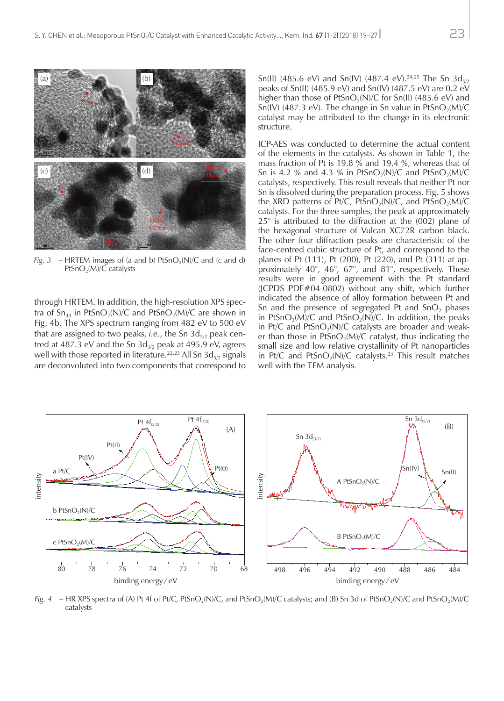

*Fig. 3* – HRTEM images of (a and b)  $PtSnO<sub>2</sub>(N)/C$  and (c and d) PtSnO<sub>2</sub>(M)/C catalysts

through HRTEM. In addition, the high-resolution XPS spectra of  $Sn_{3d}$  in PtSnO<sub>2</sub>(N)/C and PtSnO<sub>2</sub>(M)/C are shown in Fig. 4b. The XPS spectrum ranging from 482 eV to 500 eV that are assigned to two peaks, *i.e.*, the Sn 3d<sub>5/2</sub> peak centred at 487.3 eV and the Sn  $3d_{3/2}$  peak at 495.9 eV, agrees well with those reported in literature.<sup>22,23</sup> All Sn  $3d_{5/2}$  signals are deconvoluted into two components that correspond to Sn(II) (485.6 eV) and Sn(IV) (487.4 eV).<sup>24,25</sup> The Sn  $3d_{5/2}$ peaks of Sn(II) (485.9 eV) and Sn(IV) (487.5 eV) are 0.2 eV higher than those of PtSnO<sub>2</sub>(N)/C for Sn(II) (485.6 eV) and Sn(IV) (487.3 eV). The change in Sn value in PtSnO<sub>2</sub>(M)/C catalyst may be attributed to the change in its electronic structure.

ICP-AES was conducted to determine the actual content of the elements in the catalysts. As shown in Table 1, the mass fraction of Pt is 19.8 % and 19.4 %, whereas that of Sn is 4.2 % and 4.3 % in PtSnO<sub>2</sub>(N)/C and PtSnO<sub>2</sub>(M)/C catalysts, respectively. This result reveals that neither Pt nor Sn is dissolved during the preparation process. Fig. 5 shows the XRD patterns of Pt/C, PtSnO<sub>2</sub>(N)/C, and PtSnO<sub>2</sub>(M)/C catalysts. For the three samples, the peak at approximately 25° is attributed to the diffraction at the (002) plane of the hexagonal structure of Vulcan XC72R carbon black. The other four diffraction peaks are characteristic of the face-centred cubic structure of Pt, and correspond to the planes of Pt (111), Pt (200), Pt (220), and Pt (311) at approximately 40°, 46°, 67°, and 81°, respectively. These results were in good agreement with the Pt standard (JCPDS PDF#04-0802) without any shift, which further indicated the absence of alloy formation between Pt and Sn and the presence of segregated Pt and  $SnO<sub>2</sub>$  phases in PtSnO<sub>2</sub>(M)/C and PtSnO<sub>2</sub>(N)/C. In addition, the peaks in Pt/C and PtSnO<sub>2</sub>(N)/C catalysts are broader and weaker than those in PtSnO<sub>2</sub>(M)/C catalyst, thus indicating the small size and low relative crystallinity of Pt nanoparticles in Pt/C and PtSnO<sub>2</sub>(N)/C catalysts.<sup>23</sup> This result matches well with the TEM analysis.



*Fig. 4* – HR XPS spectra of (A) Pt 4f of Pt/C, PtSnO<sub>2</sub>(N)/C, and PtSnO<sub>2</sub>(M)/C catalysts; and (B) Sn 3d of PtSnO<sub>2</sub>(N)/C and PtSnO<sub>2</sub>(M)/C catalysts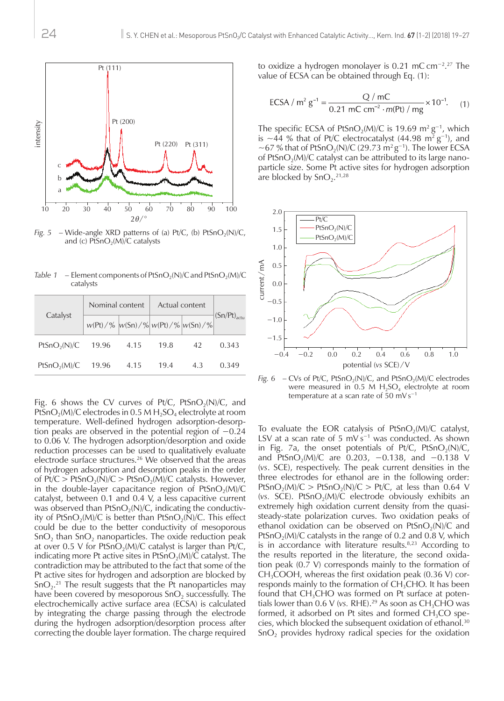

*Fig.* 5 – Wide-angle XRD patterns of (a) Pt/C, (b) PtSnO<sub>2</sub>(N)/C, and (c)  $PtSnO<sub>2</sub>(M)/C$  catalysts

*Table 1* – Element components of PtSnO<sub>2</sub>(N)/C and PtSnO<sub>2</sub>(M)/C catalysts

| Catalyst                 | Nominal content                             |      | Actual content |    |                         |
|--------------------------|---------------------------------------------|------|----------------|----|-------------------------|
|                          | $w(Pt)/\%$ $w(Sn)/\%$ $w(Pt)/\%$ $w(Sn)/\%$ |      |                |    | $(Sn/Pt)_{\text{actu}}$ |
| PtSnO <sub>2</sub> (N)/C | 19.96                                       | 4.15 | 19.8           | 42 | 0.343                   |
| PtSnO <sub>2</sub> (M)/C | 19.96                                       | 4.15 | 19.4           | 43 | 0.349                   |

Fig. 6 shows the CV curves of Pt/C, PtSnO<sub>2</sub>(N)/C, and PtSnO<sub>2</sub>(M)/C electrodes in 0.5 M H<sub>2</sub>SO<sub>4</sub> electrolyte at room temperature. Well-defined hydrogen adsorption-desorption peaks are observed in the potential region of −0.24 to 0.06 V. The hydrogen adsorption/desorption and oxide reduction processes can be used to qualitatively evaluate electrode surface structures.<sup>26</sup> We observed that the areas of hydrogen adsorption and desorption peaks in the order of  $Pt/C > PtSnO<sub>2</sub>(N)/C > PtSnO<sub>2</sub>(M)/C$  catalysts. However, in the double-layer capacitance region of  $PtSnO<sub>2</sub>(M)/C$ catalyst, between 0.1 and 0.4 V, a less capacitive current was observed than  $PtSnO_2(N)/C$ , indicating the conductivity of PtSnO<sub>2</sub>(M)/C is better than PtSnO<sub>2</sub>(N)/C. This effect could be due to the better conductivity of mesoporous  $\text{SnO}_2$  than  $\text{SnO}_2$  nanoparticles. The oxide reduction peak at over 0.5 V for PtSnO<sub>2</sub>(M)/C catalyst is larger than Pt/C, indicating more Pt active sites in PtSnO<sub>2</sub>(M)/ $\check{C}$  catalyst. The contradiction may be attributed to the fact that some of the Pt active sites for hydrogen and adsorption are blocked by  $SnO<sub>2</sub>$ .<sup>21</sup> The result suggests that the Pt nanoparticles may have been covered by mesoporous  $SnO<sub>2</sub>$  successfully. The electrochemically active surface area (ECSA) is calculated by integrating the charge passing through the electrode during the hydrogen adsorption/desorption process after correcting the double layer formation. The charge required

to oxidize a hydrogen monolayer is 0.21 mC cm−2. 27 The value of ECSA can be obtained through Eq. (1):

$$
ECSA / m^{2} g^{-1} = \frac{Q / mC}{0.21 mC cm^{-2} \cdot m(Pt) / mg} \times 10^{-1}.
$$
 (1)

The specific ECSA of PtSnO<sub>2</sub>(M)/C is 19.69 m<sup>2</sup> g<sup>-1</sup>, which is ~44 % that of Pt/C electrocatalyst (44.98 m<sup>2</sup> g<sup>-1</sup>), and ~67 % that of PtSnO<sub>2</sub>(N)/C (29.73 m<sup>2</sup> g<sup>-1</sup>). The lower ECSA of PtSnO<sub>2</sub>(M)/C catalyst can be attributed to its large nanoparticle size. Some Pt active sites for hydrogen adsorption are blocked by  $SnO<sub>2</sub>$ .<sup>21,28</sup>



*Fig. 6* – CVs of Pt/C, PtSnO<sub>2</sub>(N)/C, and PtSnO<sub>2</sub>(M)/C electrodes were measured in 0.5 M  $H_2SO_4$  electrolyte at room temperature at a scan rate of 50 mV s−1

To evaluate the EOR catalysis of  $PtSnO<sub>2</sub>(M)/C$  catalyst, LSV at a scan rate of 5 mV s−1 was conducted. As shown in Fig. 7a, the onset potentials of Pt/C, PtSnO<sub>2</sub>(N)/C, and PtSnO<sub>2</sub>(M)/C are 0.203, -0.138, and -0.138 V (*vs*. SCE), respectively. The peak current densities in the three electrodes for ethanol are in the following order: PtSnO<sub>2</sub>(M)/C > PtSnO<sub>2</sub>(N)/C > Pt/C, at less than 0.64 V (*vs.* SCE). PtSnO<sub>2</sub>(M)/C electrode obviously exhibits an extremely high oxidation current density from the quasisteady-state polarization curves. Two oxidation peaks of ethanol oxidation can be observed on  $PtSnO<sub>2</sub>(N)/C$  and PtSnO<sub>2</sub>(M)/C catalysts in the range of 0.2 and 0.8 V, which is in accordance with literature results.<sup>8,23</sup> According to the results reported in the literature, the second oxidation peak (0.7 V) corresponds mainly to the formation of  $CH<sub>3</sub>COOH$ , whereas the first oxidation peak (0.36 V) corresponds mainly to the formation of  $CH<sub>3</sub>CHO$ . It has been found that  $CH<sub>3</sub>CHO$  was formed on Pt surface at potentials lower than  $0.6$  V (*vs. RHE*).<sup>29</sup> As soon as  $CH<sub>3</sub>CHO$  was formed, it adsorbed on Pt sites and formed  $CH<sub>3</sub>CO$  species, which blocked the subsequent oxidation of ethanol.30  $SnO<sub>2</sub>$  provides hydroxy radical species for the oxidation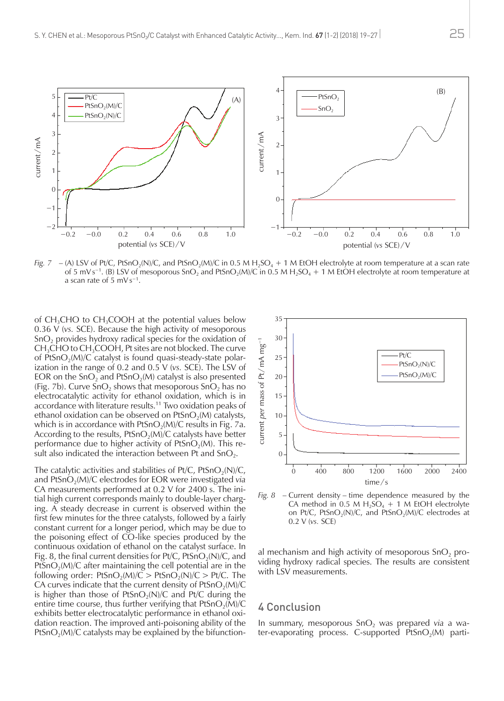

*Fig.* 7 – (A) LSV of Pt/C, PtSnO<sub>2</sub>(N)/C, and PtSnO<sub>2</sub>(M)/C in 0.5 M H<sub>2</sub>SO<sub>4</sub> + 1 M EtOH electrolyte at room temperature at a scan rate of 5 mV s<sup>−1</sup>. (B) LSV of mesoporous SnO<sub>2</sub> and PtSnO<sub>2</sub>(M)/C in 0.5 M H<sub>2</sub>SO<sub>4</sub> + 1 M EtOH electrolyte at room temperature at a scan rate of 5 mV s−1.

of  $CH<sub>3</sub>CHO$  to  $CH<sub>3</sub>COOH$  at the potential values below 0.36 V (*vs.* SCE). Because the high activity of mesoporous SnO<sub>2</sub> provides hydroxy radical species for the oxidation of  $CH<sub>3</sub>CHO$  to  $CH<sub>3</sub>COOH$ , Pt sites are not blocked. The curve of PtSnO<sub>2</sub>(M)/C catalyst is found quasi-steady-state polarization in the range of 0.2 and 0.5 V (*vs.* SCE). The LSV of EOR on the  $SnO<sub>2</sub>$  and PtSnO<sub>2</sub>(M) catalyst is also presented (Fig. 7b). Curve  $SnO<sub>2</sub>$  shows that mesoporous  $SnO<sub>2</sub>$  has no electrocatalytic activity for ethanol oxidation, which is in accordance with literature results.11 Two oxidation peaks of ethanol oxidation can be observed on  $PtSnO<sub>2</sub>(M)$  catalysts, which is in accordance with  $PtSnO<sub>2</sub>(M)/C$  results in Fig. 7a. According to the results,  $PtSnO<sub>2</sub>(M)/C$  catalysts have better performance due to higher activity of  $PtSnO<sub>2</sub>(M)$ . This result also indicated the interaction between Pt and  $SnO<sub>2</sub>$ .

The catalytic activities and stabilities of  $Pt/C$ ,  $PtSnO_2(N)/C$ , and PtSnO<sub>2</sub>(M)/C electrodes for EOR were investigated *via* CA measurements performed at 0.2 V for 2400 s. The initial high current corresponds mainly to double-layer charging. A steady decrease in current is observed within the first few minutes for the three catalysts, followed by a fairly constant current for a longer period, which may be due to the poisoning effect of CO-like species produced by the continuous oxidation of ethanol on the catalyst surface. In Fig. 8, the final current densities for  $Pt/C$ ,  $PtSnO<sub>2</sub>(N)/C$ , and PtSnO<sub>2</sub>(M)/C after maintaining the cell potential are in the following order:  $PtSnO_2(M)/C > PtSnO_2(N)/C > Pt/C$ . The CA curves indicate that the current density of  $PtSnO<sub>2</sub>(M)/C$ is higher than those of PtSnO<sub>2</sub>(N)/C and Pt/C during the entire time course, thus further verifying that  $PtSnO_2(M)/C$ exhibits better electrocatalytic performance in ethanol oxidation reaction. The improved anti-poisoning ability of the PtSnO<sub>2</sub>(M)/C catalysts may be explained by the bifunction-



*Fig. 8* – Current density – time dependence measured by the CA method in 0.5 M  $H_2SO_4 + 1$  M EtOH electrolyte on Pt/C, PtSnO<sub>2</sub>(N)/C, and PtSnO<sub>2</sub>(M)/C electrodes at 0.2 V (*vs.* SCE)

al mechanism and high activity of mesoporous  $SnO<sub>2</sub>$  providing hydroxy radical species. The results are consistent with LSV measurements.

# 4 Conclusion

In summary, mesoporous SnO<sub>2</sub> was prepared *via* a water-evaporating process. C-supported  $PtSnO<sub>2</sub>(M)$  parti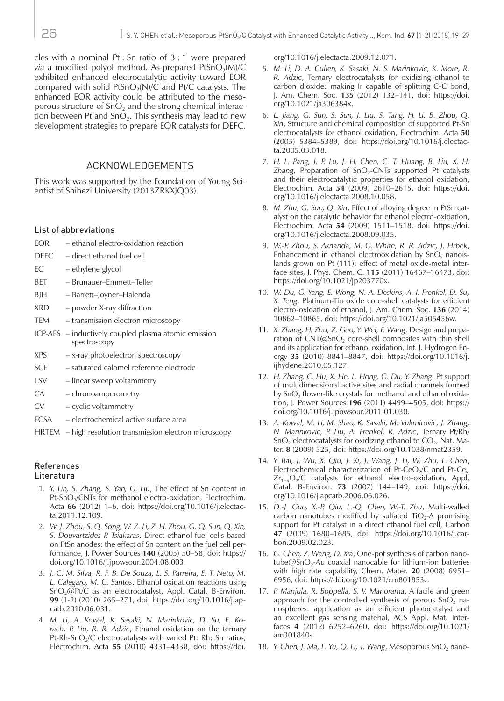cles with a nominal Pt : Sn ratio of 3 : 1 were prepared *via* a modified polyol method. As-prepared PtSnO<sub>2</sub>(M)/C exhibited enhanced electrocatalytic activity toward EOR compared with solid PtSnO<sub>2</sub>(N)/C and Pt/C catalysts. The enhanced EOR activity could be attributed to the mesoporous structure of  $SnO<sub>2</sub>$  and the strong chemical interaction between Pt and  $SnO<sub>2</sub>$ . This synthesis may lead to new development strategies to prepare EOR catalysts for DEFC.

#### ACKNOWLEDGEMENTS

This work was supported by the Foundation of Young Scientist of Shihezi University (2013ZRKXJQ03).

#### List of abbreviations

- EOR ethanol electro-oxidation reaction
- DEFC direct ethanol fuel cell
- EG ethylene glycol
- BET Brunauer–Emmett–Teller
- BJH Barrett–Joyner–Halenda
- XRD powder X-ray diffraction
- TEM transmission electron microscopy
- ICP-AES inductively coupled plasma atomic emission spectroscopy
- XPS x-ray photoelectron spectroscopy
- SCE saturated calomel reference electrode
- LSV linear sweep voltammetry
- CA chronoamperometry
- CV cyclic voltammetry
- ECSA electrochemical active surface area
- HRTEM high resolution transmission electron microscopy

# References

# Literatura

- 1. *Y. Lin, S. Zhang, S. Yan, G. Liu*, The effect of Sn content in Pt-SnO<sub>2</sub>/CNTs for methanol electro-oxidation, Electrochim. Acta **66** (2012) 1–6, doi: [https://doi.org/10.1016/j.electac](https://doi.org/10.1016/j.electacta.2011.12.109)[ta.2011.12.109](https://doi.org/10.1016/j.electacta.2011.12.109).
- 2. *W. J. Zhou, S. Q. Song, W. Z. Li, Z. H. Zhou, [G. Q. Sun,](http://www.sciencedirect.com/science/article/pii/S0378775304008626) Q. Xin, S. Douvartzides P. Tsiakaras*, Direct ethanol fuel cells based on PtSn anodes: the effect of Sn content on the fuel cell performance, J. Power Sources **140** (2005) 50–58, doi: [https://](https://doi.org/10.1016/j.jpowsour.2004.08.003) [doi.org/10.1016/j.jpowsour.2004.08.003.](https://doi.org/10.1016/j.jpowsour.2004.08.003)
- 3. *J. C. M. Silva, R. F. B. De Souza, L. S. Parreira, E. T. Neto, M. L. Calegaro, M. C. Santos*, Ethanol oxidation reactions using SnO<sub>2</sub>@Pt/C as an electrocatalyst, Appl. Catal. B-Environ. **99** (1-2) (2010) 265–271, doi: [https://doi.org/10.1016/j.ap](https://doi.org/10.1016/j.apcatb.2010.06.031)[catb.2010.06.031](https://doi.org/10.1016/j.apcatb.2010.06.031).
- 4. *M. Li, A. Kowal, K. Sasaki, N. Marinkovic, D. Su, E. Korach, P. Liu, R. R. Adzic*, Ethanol oxidation on the ternary Pt-Rh-SnO<sub>2</sub>/C electrocatalysts with varied Pt: Rh: Sn ratios, Electrochim. Acta **55** (2010) 4331–4338, doi: [https://doi.](https://doi.org/10.1016/j.electacta.2009.12.071)

[org/10.1016/j.electacta.2009.12.071.](https://doi.org/10.1016/j.electacta.2009.12.071)

- 5. *M. Li, D. A. Cullen, K. Sasaki, N. S. Marinkovic, K. More, R. R. Adzic*, Ternary electrocatalysts for oxidizing ethanol to carbon dioxide: making Ir capable of splitting C-C bond, J. Am. Chem. Soc. **135** (2012) 132–141, doi: [https://doi.](https://doi.org/10.1021/ja306384x) [org/10.1021/ja306384x](https://doi.org/10.1021/ja306384x).
- 6. *L. Jiang, G. Sun, S. Sun, J. Liu, S. Tang, H. Li, B. Zhou, Q. Xin*, Structure and chemical composition of supported Pt-Sn electrocatalysts for ethanol oxidation, Electrochim. Acta **50** (2005) 5384–5389, doi: [https://doi.org/10.1016/j.electac](https://doi.org/10.1016/j.electacta.2005.03.018)[ta.2005.03.018](https://doi.org/10.1016/j.electacta.2005.03.018).
- 7. *H. L. Pang, J. P. Lu, J. H. Chen, C. T. Huang, B. Liu, X. H.*  Zhang, Preparation of SnO<sub>2</sub>-CNTs supported Pt catalysts and their electrocatalytic properties for ethanol oxidation, Electrochim. Acta **54** (2009) 2610–2615, doi: [https://doi.](https://doi.org/10.1016/j.electacta.2008.10.058) [org/10.1016/j.electacta.2008.10.058.](https://doi.org/10.1016/j.electacta.2008.10.058)
- 8. *M. Zhu, G. Sun, Q. Xin*, Effect of alloying degree in PtSn catalyst on the catalytic behavior for ethanol electro-oxidation, Electrochim. Acta **54** (2009) 1511–1518, doi: [https://doi.](https://doi.org/10.1016/j.electacta.2008.09.035) [org/10.1016/j.electacta.2008.09.035.](https://doi.org/10.1016/j.electacta.2008.09.035)
- 9. *W.-P. Zhou, S. Axnanda, M. G. White, R. R. Adzic, J. Hrbek*, Enhancement in ethanol electrooxidation by SnO*x* nanoislands grown on Pt (111): effect of metal oxide-metal interface sites, J. Phys. Chem. C. **115** (2011) 16467–16473, doi: [https://doi.org/10.1021/jp203770x.](https://doi.org/10.1021/jp203770x)
- 10. *W. Du, G. Yang, E. Wong, N. A. Deskins, A. I. Frenkel, D. Su, X. Teng*, Platinum-Tin oxide core-shell catalysts for efficient electro-oxidation of ethanol, J. Am. Chem. Soc. **136** (2014) 10862–10865, doi: <https://doi.org/10.1021/ja505456w>.
- 11. *X. Zhang, H. Zhu, Z. Guo, Y. Wei, F. Wang*, Design and preparation of  $CNT@SnO<sub>2</sub>$  core-shell composites with thin shell and its application for ethanol oxidation, Int. J. Hydrogen Energy **35** (2010) 8841–8847, doi: [https://doi.org/10.1016/j.](https://doi.org/10.1016/j.ijhydene.2010.05.127) [ijhydene.2010.05.127.](https://doi.org/10.1016/j.ijhydene.2010.05.127)
- 12. *H. Zhang, C. Hu, X. He, L. Hong, G. Du, Y. Zhang*, Pt support of multidimensional active sites and radial channels formed by  $SnO<sub>2</sub>$  flower-like crystals for methanol and ethanol oxidation, J. Power Sources **196** (2011) 4499–4505, doi: [https://](https://doi.org/10.1016/j.jpowsour.2011.01.030) [doi.org/10.1016/j.jpowsour.2011.01.030.](https://doi.org/10.1016/j.jpowsour.2011.01.030)
- 13. *A. Kowal, M. Li, M. Shao, K. Sasaki, M. Vukmirovic, J. Zhang, N. Marinkovic, P. Liu, A. Frenkel, R. Adzic*, Ternary Pt/Rh/ SnO<sub>2</sub> electrocatalysts for oxidizing ethanol to  $CO<sub>2</sub>$ , Nat. Mater. **8** (2009) 325, doi: [https://doi.org/10.1038/nmat2359.](https://doi.org/10.1038/nmat2359)
- 14. *Y. Bai, J. Wu, X. Qiu, J. Xi, J. Wang, J. Li, W. Zhu, L. Chen*, Electrochemical characterization of Pt-CeO<sub>2</sub>/C and Pt-Ce<sub>x-</sub>  $Zr_{1-x}O_2/C$  catalysts for ethanol electro-oxidation, Appl. Catal. B-Environ. **73** (2007) 144–149, doi: [https://doi.](https://doi.org/10.1016/j.apcatb.2006.06.026) [org/10.1016/j.apcatb.2006.06.026.](https://doi.org/10.1016/j.apcatb.2006.06.026)
- 15. *D.-J. Guo, X.-P. Qiu, L.-Q. Chen, W.-T. Zhu*, Multi-walled carbon nanotubes modified by sulfated  $TiO<sub>2</sub>-A$  promising support for Pt catalyst in a direct ethanol fuel cell, Carbon **47** (2009) 1680–1685, doi: [https://doi.org/10.1016/j.car](https://doi.org/10.1016/j.carbon.2009.02.023)[bon.2009.02.023](https://doi.org/10.1016/j.carbon.2009.02.023).
- 16. *G. Chen, Z. Wang, D. Xia*, One-pot synthesis of carbon nanotube $@$ SnO<sub>2</sub>-Au coaxial nanocable for lithium-ion batteries with high rate capability, Chem. Mater. **20** (2008) 6951– 6956, doi: <https://doi.org/10.1021/cm801853c>.
- 17. *P. Manjula, R. Boppella, S. V. Manorama*, A facile and green approach for the controlled synthesis of porous  $SnO<sub>2</sub>$  nanospheres: application as an efficient photocatalyst and an excellent gas sensing material, ACS Appl. Mat. Interfaces **4** (2012) 6252–6260, doi: [https://doi.org/10.1021/](https://doi.org/10.1021/am301840s) [am301840s](https://doi.org/10.1021/am301840s).
- 18. *Y. Chen, J. Ma, L. Yu, Q. Li, T. Wang*, Mesoporous SnO<sub>2</sub> nano-